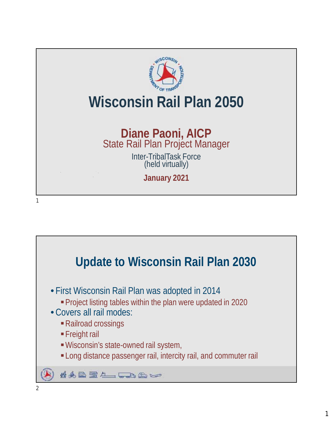

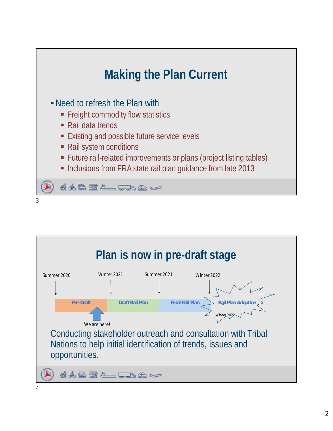

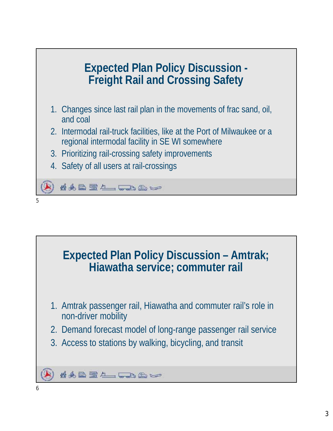

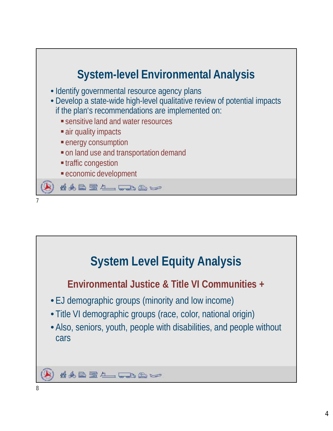

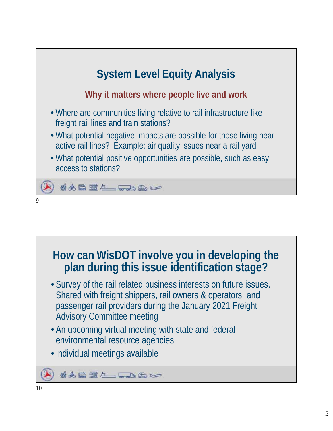